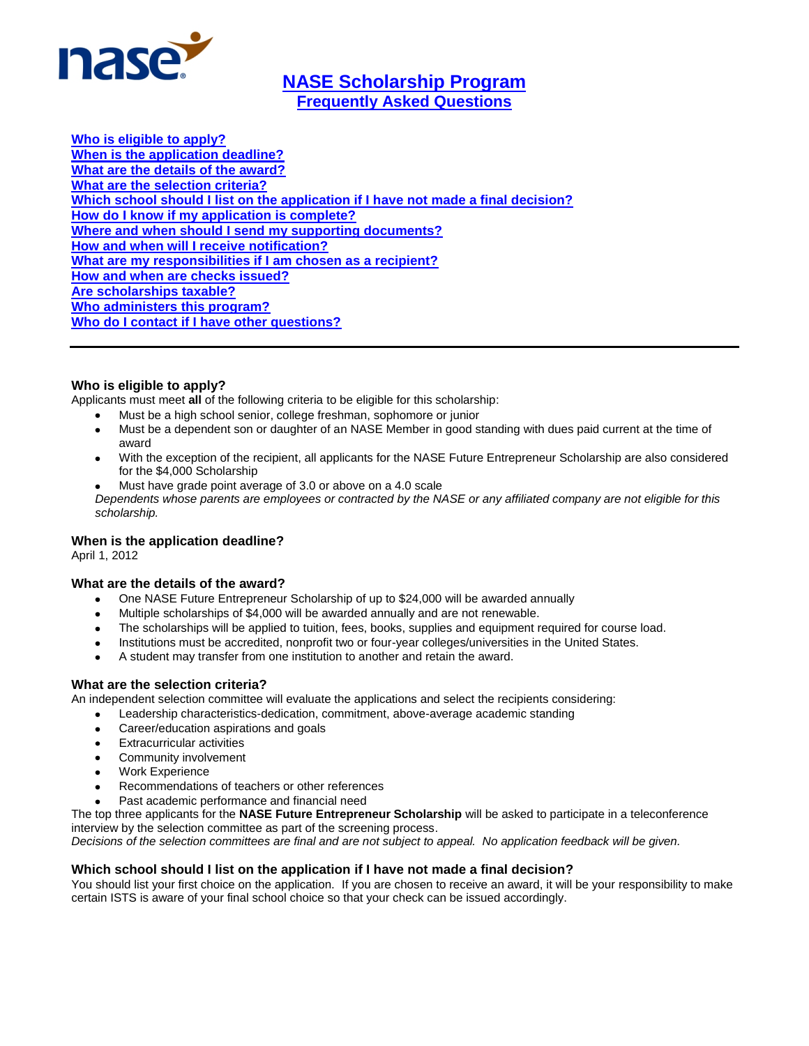

# <span id="page-0-0"></span>**[NASE Scholarship Program](#page-0-0) [Frequently Asked Questions](#page-0-0)**

**[Who is eligible to apply?](#page-0-1) [When is the application deadline?](#page-0-2) [What are the details of the award?](#page-0-3) [What are the selection criteria?](#page-0-4) [Which school should I list on the application if I have not made a final decision?](#page-0-5) [How do I know if my application is complete?](#page-1-0) [Where and when should I send my supporting documents?](#page-1-1) [How and when will I receive notification?](#page-1-2) [What are my responsibilities if I am chosen as a recipient?](#page-1-3) [How and when are checks issued?](#page-1-4) [Are scholarships taxable?](#page-1-5) [Who administers this program?](#page-1-6) [Who do I contact if I have other questions?](#page-1-7)**

# <span id="page-0-1"></span>**Who is eligible to apply?**

Applicants must meet **all** of the following criteria to be eligible for this scholarship:

- Must be a high school senior, college freshman, sophomore or junior
- Must be a dependent son or daughter of an NASE Member in good standing with dues paid current at the time of award
- With the exception of the recipient, all applicants for the NASE Future Entrepreneur Scholarship are also considered for the \$4,000 Scholarship
- Must have grade point average of 3.0 or above on a 4.0 scale *Dependents whose parents are employees or contracted by the NASE or any affiliated company are not eligible for this scholarship.*

# <span id="page-0-2"></span>**When is the application deadline?**

April 1, 2012

# <span id="page-0-3"></span>**What are the details of the award?**

- One NASE Future Entrepreneur Scholarship of up to \$24,000 will be awarded annually
- Multiple scholarships of \$4,000 will be awarded annually and are not renewable.
- The scholarships will be applied to tuition, fees, books, supplies and equipment required for course load.
- Institutions must be accredited, nonprofit two or four-year colleges/universities in the United States.
- A student may transfer from one institution to another and retain the award.

# <span id="page-0-4"></span>**What are the selection criteria?**

An independent selection committee will evaluate the applications and select the recipients considering:

- Leadership characteristics-dedication, commitment, above-average academic standing  $\bullet$
- Career/education aspirations and goals
- Extracurricular activities
- Community involvement
- Work Experience
- Recommendations of teachers or other references
- Past academic performance and financial need

The top three applicants for the **NASE Future Entrepreneur Scholarship** will be asked to participate in a teleconference interview by the selection committee as part of the screening process.

*Decisions of the selection committees are final and are not subject to appeal. No application feedback will be given.*

# <span id="page-0-5"></span>**Which school should I list on the application if I have not made a final decision?**

You should list your first choice on the application. If you are chosen to receive an award, it will be your responsibility to make certain ISTS is aware of your final school choice so that your check can be issued accordingly.